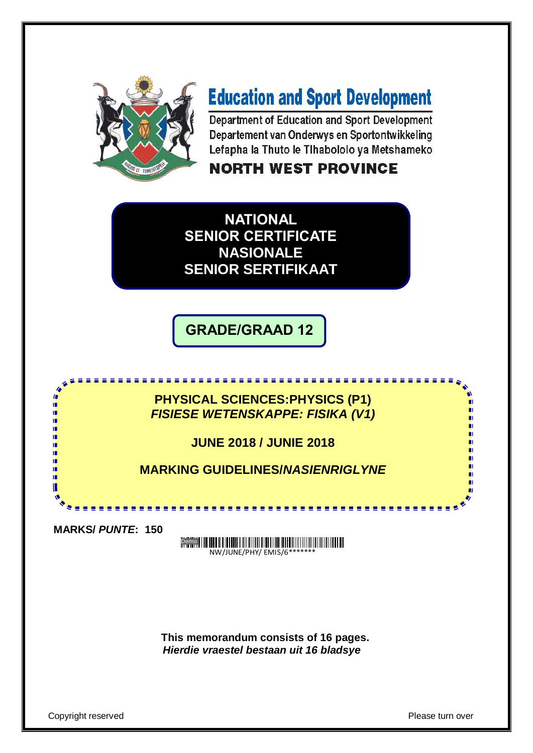

# **Education and Sport Development**

Department of Education and Sport Development Departement van Onderwys en Sportontwikkeling Lefapha la Thuto le Tlhabololo ya Metshameko

### **NORTH WEST PROVINCE**

**NATIONAL SENIOR CERTIFICATE NASIONALE SENIOR SERTIFIKAAT**

**GRADE/GRAAD 12**

**PHYSICAL SCIENCES:PHYSICS (P1)** *FISIESE WETENSKAPPE: FISIKA (V1)*

<u>. . . . . . . . . . . . . . . . . . .</u>

**JUNE 2018 / JUNIE 2018**

**MARKING GUIDELINES/***NASIENRIGLYNE*

**MARKS/** *PUNTE***: 150**

ı. ıŕ.

> Demo NW/JUNE/PHY/ EMIS/6\*

**This memorandum consists of 16 pages.** *Hierdie vraestel bestaan uit 16 bladsye* 

Copyright reserved **Please turn over the Copyright reserved** Please turn over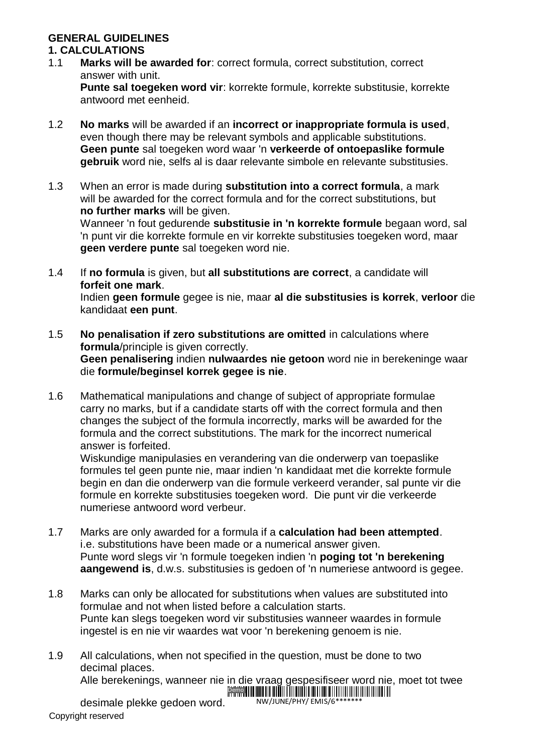#### **GENERAL GUIDELINES**

#### **1. CALCULATIONS**

1.1 **Marks will be awarded for**: correct formula, correct substitution, correct answer with unit.

**Punte sal toegeken word vir**: korrekte formule, korrekte substitusie, korrekte antwoord met eenheid.

- 1.2 **No marks** will be awarded if an **incorrect or inappropriate formula is used**, even though there may be relevant symbols and applicable substitutions. **Geen punte** sal toegeken word waar 'n **verkeerde of ontoepaslike formule gebruik** word nie, selfs al is daar relevante simbole en relevante substitusies.
- 1.3 When an error is made during **substitution into a correct formula**, a mark will be awarded for the correct formula and for the correct substitutions, but **no further marks** will be given.

Wanneer 'n fout gedurende **substitusie in 'n korrekte formule** begaan word, sal 'n punt vir die korrekte formule en vir korrekte substitusies toegeken word, maar **geen verdere punte** sal toegeken word nie.

1.4 If **no formula** is given, but **all substitutions are correct**, a candidate will **forfeit one mark**.

Indien **geen formule** gegee is nie, maar **al die substitusies is korrek**, **verloor** die kandidaat **een punt**.

- 1.5 **No penalisation if zero substitutions are omitted** in calculations where **formula**/principle is given correctly. **Geen penalisering** indien **nulwaardes nie getoon** word nie in berekeninge waar die **formule/beginsel korrek gegee is nie**.
- 1.6 Mathematical manipulations and change of subject of appropriate formulae carry no marks, but if a candidate starts off with the correct formula and then changes the subject of the formula incorrectly, marks will be awarded for the formula and the correct substitutions. The mark for the incorrect numerical answer is forfeited.

Wiskundige manipulasies en verandering van die onderwerp van toepaslike formules tel geen punte nie, maar indien 'n kandidaat met die korrekte formule begin en dan die onderwerp van die formule verkeerd verander, sal punte vir die formule en korrekte substitusies toegeken word. Die punt vir die verkeerde numeriese antwoord word verbeur.

- 1.7 Marks are only awarded for a formula if a **calculation had been attempted**. i.e. substitutions have been made or a numerical answer given. Punte word slegs vir 'n formule toegeken indien 'n **poging tot 'n berekening aangewend is**, d.w.s. substitusies is gedoen of 'n numeriese antwoord is gegee.
- 1.8 Marks can only be allocated for substitutions when values are substituted into formulae and not when listed before a calculation starts. Punte kan slegs toegeken word vir substitusies wanneer waardes in formule ingestel is en nie vir waardes wat voor 'n berekening genoem is nie.
- 1.9 All calculations, when not specified in the question, must be done to two decimal places.

Alle berekenings, wanneer nie in die vraag gespesifiseer word nie, moet tot twee

NW/JUNE/PHY/ EMIS/6\*

Copyright reserved desimale plekke gedoen word.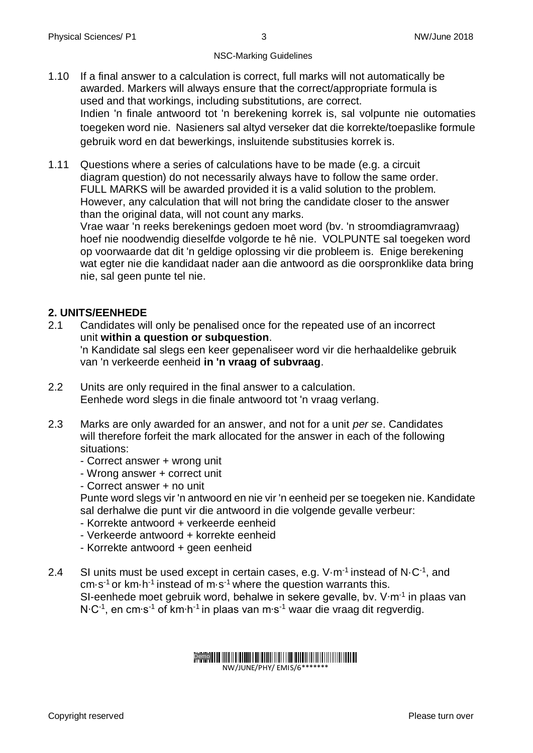- 1.10 If a final answer to a calculation is correct, full marks will not automatically be awarded. Markers will always ensure that the correct/appropriate formula is used and that workings, including substitutions, are correct. Indien 'n finale antwoord tot 'n berekening korrek is, sal volpunte nie outomaties toegeken word nie. Nasieners sal altyd verseker dat die korrekte/toepaslike formule gebruik word en dat bewerkings, insluitende substitusies korrek is.
- 1.11 Questions where a series of calculations have to be made (e.g. a circuit diagram question) do not necessarily always have to follow the same order. FULL MARKS will be awarded provided it is a valid solution to the problem. However, any calculation that will not bring the candidate closer to the answer than the original data, will not count any marks.

Vrae waar 'n reeks berekenings gedoen moet word (bv. 'n stroomdiagramvraag) hoef nie noodwendig dieselfde volgorde te hê nie. VOLPUNTE sal toegeken word op voorwaarde dat dit 'n geldige oplossing vir die probleem is. Enige berekening wat egter nie die kandidaat nader aan die antwoord as die oorspronklike data bring nie, sal geen punte tel nie.

#### **2. UNITS/EENHEDE**

- 2.1 Candidates will only be penalised once for the repeated use of an incorrect unit **within a question or subquestion**. 'n Kandidate sal slegs een keer gepenaliseer word vir die herhaaldelike gebruik van 'n verkeerde eenheid **in 'n vraag of subvraag**.
- 2.2 Units are only required in the final answer to a calculation. Eenhede word slegs in die finale antwoord tot 'n vraag verlang.
- 2.3 Marks are only awarded for an answer, and not for a unit *per se*. Candidates will therefore forfeit the mark allocated for the answer in each of the following situations:
	- Correct answer + wrong unit
	- Wrong answer + correct unit
	- Correct answer + no unit

Punte word slegs vir 'n antwoord en nie vir 'n eenheid per se toegeken nie. Kandidate sal derhalwe die punt vir die antwoord in die volgende gevalle verbeur:

- Korrekte antwoord + verkeerde eenheid
- Verkeerde antwoord + korrekte eenheid
- Korrekte antwoord + geen eenheid
- 2.4 SI units must be used except in certain cases, e.g. V $\cdot$ m<sup>-1</sup> instead of N $\cdot$ C<sup>-1</sup>, and cm $\cdot$ s<sup>-1</sup> or km $\cdot$ h<sup>-1</sup> instead of m $\cdot$ s<sup>-1</sup> where the question warrants this. SI-eenhede moet gebruik word, behalwe in sekere gevalle, bv. V·m<sup>-1</sup> in plaas van N∙C-1 , en cm∙s-1 of km∙h-1 in plaas van m∙s-1 waar die vraag dit regverdig.

#### Demo

NW/JUNE/PHY/ EMIS/6\*\*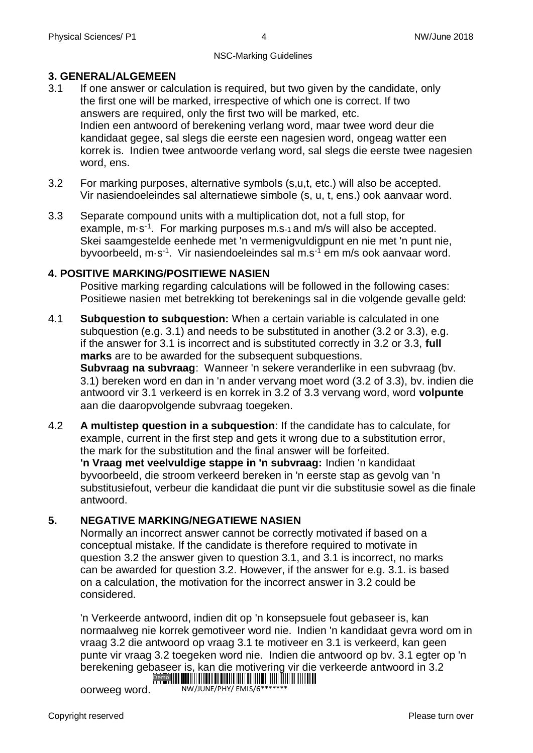#### **3. GENERAL/ALGEMEEN**

- 3.1 If one answer or calculation is required, but two given by the candidate, only the first one will be marked, irrespective of which one is correct. If two answers are required, only the first two will be marked, etc. Indien een antwoord of berekening verlang word, maar twee word deur die kandidaat gegee, sal slegs die eerste een nagesien word, ongeag watter een korrek is. Indien twee antwoorde verlang word, sal slegs die eerste twee nagesien word, ens.
- 3.2 For marking purposes, alternative symbols (s,u,t, etc.) will also be accepted. Vir nasiendoeleindes sal alternatiewe simbole (s, u, t, ens.) ook aanvaar word.
- 3.3 Separate compound units with a multiplication dot, not a full stop, for example, m·s<sup>-1</sup>. For marking purposes m.s-1 and m/s will also be accepted. Skei saamgestelde eenhede met 'n vermenigvuldigpunt en nie met 'n punt nie, byvoorbeeld, m·s<sup>-1</sup>. Vir nasiendoeleindes sal m.s<sup>-1</sup> em m/s ook aanvaar word.

#### **4. POSITIVE MARKING/POSITIEWE NASIEN**

Positive marking regarding calculations will be followed in the following cases: Positiewe nasien met betrekking tot berekenings sal in die volgende gevalle geld:

- 4.1 **Subquestion to subquestion:** When a certain variable is calculated in one subquestion (e.g. 3.1) and needs to be substituted in another (3.2 or 3.3), e.g. if the answer for 3.1 is incorrect and is substituted correctly in 3.2 or 3.3, **full marks** are to be awarded for the subsequent subquestions. **Subvraag na subvraag**: Wanneer 'n sekere veranderlike in een subvraag (bv. 3.1) bereken word en dan in 'n ander vervang moet word (3.2 of 3.3), bv. indien die antwoord vir 3.1 verkeerd is en korrek in 3.2 of 3.3 vervang word, word **volpunte** aan die daaropvolgende subvraag toegeken.
- 4.2 **A multistep question in a subquestion**: If the candidate has to calculate, for example, current in the first step and gets it wrong due to a substitution error, the mark for the substitution and the final answer will be forfeited. **'n Vraag met veelvuldige stappe in 'n subvraag:** Indien 'n kandidaat byvoorbeeld, die stroom verkeerd bereken in 'n eerste stap as gevolg van 'n substitusiefout, verbeur die kandidaat die punt vir die substitusie sowel as die finale antwoord.

#### **5. NEGATIVE MARKING/NEGATIEWE NASIEN**

Normally an incorrect answer cannot be correctly motivated if based on a conceptual mistake. If the candidate is therefore required to motivate in question 3.2 the answer given to question 3.1, and 3.1 is incorrect, no marks can be awarded for question 3.2. However, if the answer for e.g. 3.1. is based on a calculation, the motivation for the incorrect answer in 3.2 could be considered.

'n Verkeerde antwoord, indien dit op 'n konsepsuele fout gebaseer is, kan normaalweg nie korrek gemotiveer word nie. Indien 'n kandidaat gevra word om in vraag 3.2 die antwoord op vraag 3.1 te motiveer en 3.1 is verkeerd, kan geen punte vir vraag 3.2 toegeken word nie. Indien die antwoord op bv. 3.1 egter op 'n berekening gebaseer is, kan die motivering vir die verkeerde antwoord in 3.2 Demo **Maria Maria Maria Maria Maria Maria Maria M** 

oorweeg word. NW/JUNE/PHY/ EMIS/6\*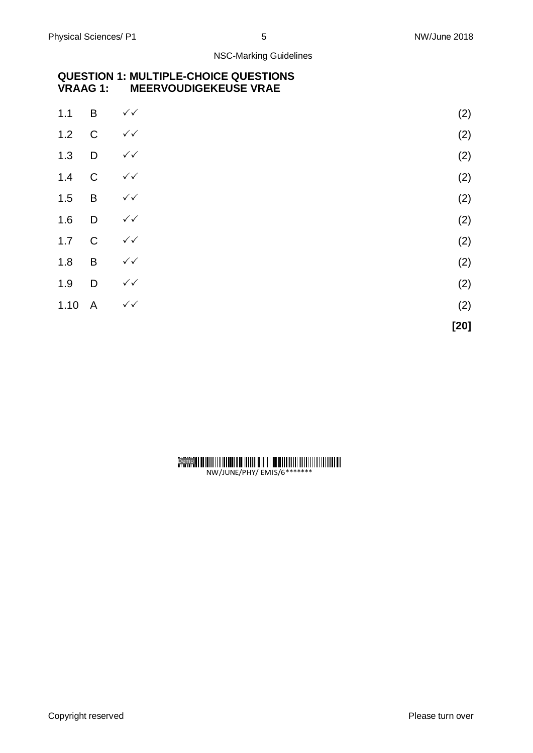#### **QUESTION 1: MULTIPLE-CHOICE QUESTIONS MEERVOUDIGEKEUSE VRAE**

| $1.1$  | B              | $\checkmark$           | (2) |
|--------|----------------|------------------------|-----|
| 1.2    | $\mathbf C$    | $\checkmark\checkmark$ | (2) |
| 1.3    | $\Box$         | $\checkmark\checkmark$ | (2) |
| 1.4    | $\overline{C}$ | $\checkmark$           | (2) |
| 1.5    | B              | $\checkmark\checkmark$ | (2) |
| 1.6    | D              | $\checkmark\checkmark$ | (2) |
| 1.7    | $\mathbf C$    | $\checkmark\checkmark$ | (2) |
| 1.8    | $\mathsf B$    | $\checkmark$           | (2) |
| 1.9    | D              | $\checkmark\checkmark$ | (2) |
| 1.10 A |                | $\checkmark\checkmark$ | (2) |
|        |                |                        |     |

| [20] |
|------|

### Demo

NW/JUNE/PHY/ EMIS/6\*\*\*\*\*\*\*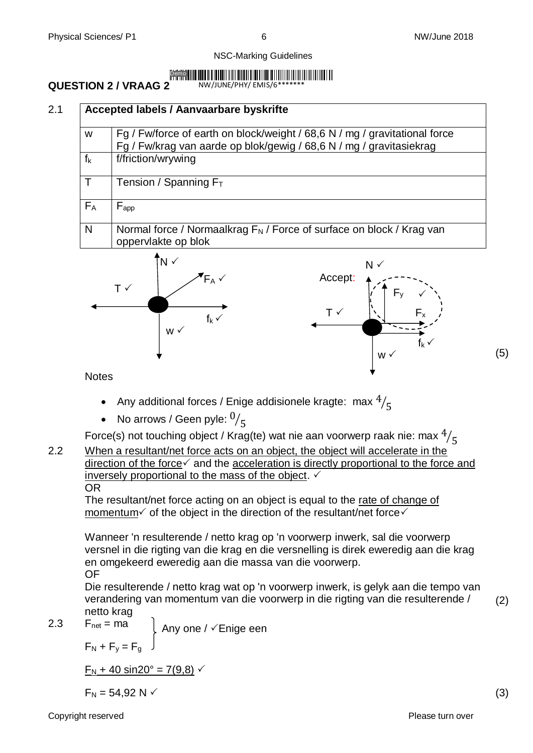#### Demo

### **QUESTION 2 / VRAAG 2**

NW/JUNE/PHY/ EMIS/6\*\*\*\*\*\*\*

| W     | Fg / Fw/force of earth on block/weight / 68,6 N / mg / gravitational force<br>Fg / Fw/krag van aarde op blok/gewig / 68,6 N / mg / gravitasiekrag |
|-------|---------------------------------------------------------------------------------------------------------------------------------------------------|
| $f_k$ | f/friction/wrywing                                                                                                                                |
| T     | Tension / Spanning $F_T$                                                                                                                          |
| $F_A$ | $F_{app}$                                                                                                                                         |
| N     | Normal force / Normaalkrag $F_N$ / Force of surface on block / Krag van<br>oppervlakte op blok                                                    |



**Notes** 

- Any additional forces / Enige addisionele kragte: max  $\frac{4}{5}$
- No arrows / Geen pyle:  $^{0}/_5$

Force(s) not touching object / Krag(te) wat nie aan voorwerp raak nie: max  $^4\!/_{5}$ 

2.2 When a resultant/net force acts on an object, the object will accelerate in the  $\overline{\text{direction}}$  of the force $\checkmark$  and the acceleration is directly proportional to the force and inversely proportional to the mass of the object.  $\checkmark$ OR

The resultant/net force acting on an object is equal to the rate of change of momentum  $\checkmark$  of the object in the direction of the resultant/net force  $\checkmark$ 

Wanneer 'n resulterende / netto krag op 'n voorwerp inwerk, sal die voorwerp versnel in die rigting van die krag en die versnelling is direk eweredig aan die krag en omgekeerd eweredig aan die massa van die voorwerp. OF

Die resulterende / netto krag wat op 'n voorwerp inwerk, is gelyk aan die tempo van verandering van momentum van die voorwerp in die rigting van die resulterende / netto krag

2.3  $F_{net} = ma$  $F_N + F_y = F_g$ Any one /  $\checkmark$  Enige een

 $F_N$  + 40 sin20° = 7(9,8)  $\checkmark$ 

 $F_N = 54,92 \text{ N}$  (3)

(2)

(5)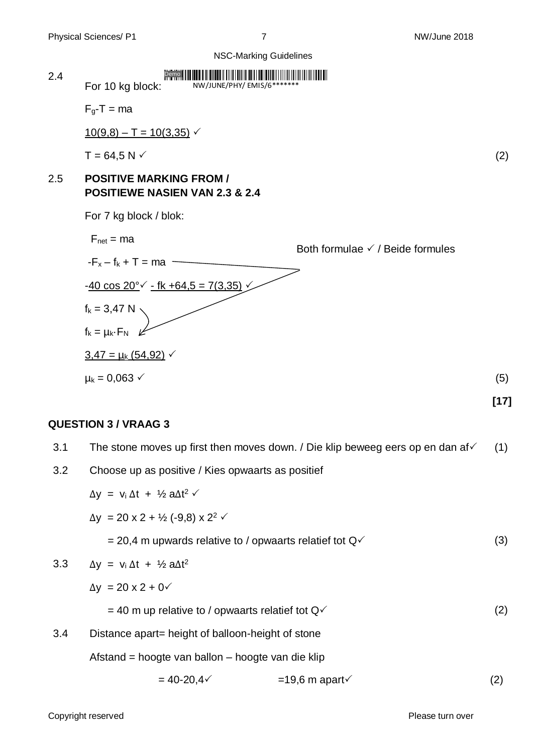

#### **QUESTION 3 / VRAAG 3**

| 3.1 | The stone moves up first then moves down. / Die klip beweeg eers op en dan af $\checkmark$ | (1)               |  |  |  |
|-----|--------------------------------------------------------------------------------------------|-------------------|--|--|--|
| 3.2 | Choose up as positive / Kies opwaarts as positief                                          |                   |  |  |  |
|     | $\Delta y = v_i \Delta t + V_2 a \Delta t^2$                                               |                   |  |  |  |
|     | $\Delta y = 20 \times 2 + \frac{1}{2} (-9.8) \times 2^2$                                   |                   |  |  |  |
|     | = 20,4 m upwards relative to / opwaarts relatief tot $Q\checkmark$                         | (3)               |  |  |  |
| 3.3 | $\Delta y = v_i \Delta t + \frac{1}{2} a \Delta t^2$                                       |                   |  |  |  |
|     | $\Delta y = 20 \times 2 + 0$                                                               |                   |  |  |  |
|     | $=$ 40 m up relative to / opwaarts relatief tot $Q\checkmark$                              | (2)               |  |  |  |
| 3.4 | Distance apart = height of balloon-height of stone                                         |                   |  |  |  |
|     | Afstand = hoogte van ballon – hoogte van die klip                                          |                   |  |  |  |
|     | $= 40 - 20, 4 \times$<br>$=19,6 \text{ m}$ apart $\checkmark$                              | $\left( 2\right)$ |  |  |  |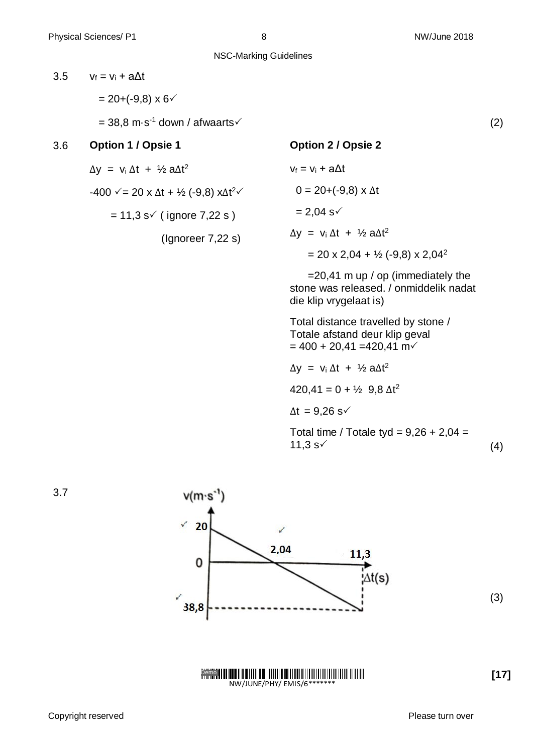NSC-Marking Guidelines

3.5  $V_f = V_i + a\Delta t$  $= 20 + (-9.8) \times 6$  $= 38.8$  m·s<sup>-1</sup> down / afwaarts (2) 3.6 **Option 1 / Opsie 1**  $\Delta y = v_i \Delta t + \frac{1}{2} a \Delta t^2$  $-400$   $\sqrt{=}$  20 x  $\Delta t$  + ½ (-9,8) x $\Delta t^2$  $\sqrt{}$  $= 11,3$  s $\checkmark$  ( ignore 7,22 s ) (Ignoreer 7,22 s) **Option 2 / Opsie 2**  $v_f = v_i + a\Delta t$  $0 = 20 + (-9.8) \times \Delta t$  $= 2,04 \text{ s}^{-1}$  $\Delta y = v_i \Delta t + V_2 a \Delta t^2$  $= 20 \times 2,04 + \frac{1}{2} (-9,8) \times 2,04^2$  $=$  20,41 m up / op (immediately the stone was released. / onmiddelik nadat die klip vrygelaat is) Total distance travelled by stone / Totale afstand deur klip geval  $= 400 + 20,41 = 420,41 \text{ m}$  $\Delta y = v_i \Delta t + \frac{1}{2} a \Delta t^2$  $420,41 = 0 + \frac{1}{2}$  9,8  $\Delta t^2$  $\Delta t = 9,26$  s $\checkmark$ Total time / Totale tyd =  $9,26 + 2,04 =$  $11,3 \text{ s}$  (4)



Demo NW/JUNE/PHY/ EMIS/6\*

**[17]**

3.7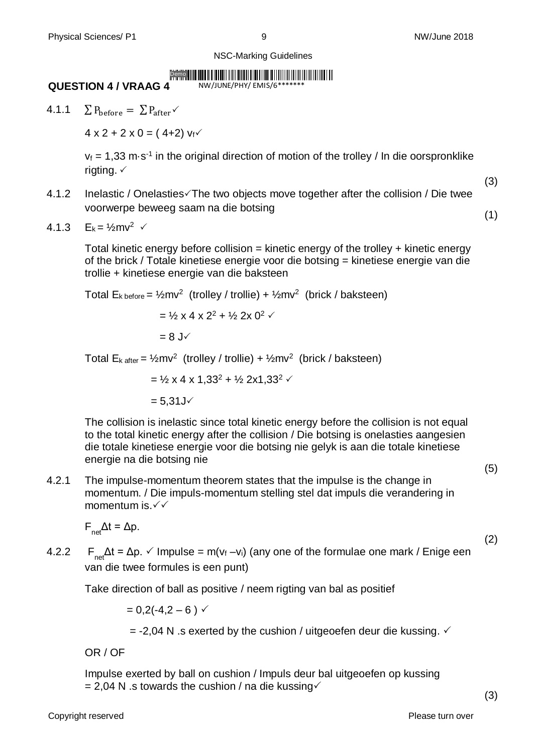(3)

NSC-Marking Guidelines

#### Demo

NW/JUNE/PHY/ EMIS/6\*\*\*\*\*\*\*

#### **QUESTION 4 / VRAAG 4**

4.1.1  $\sum P_{before} = \sum P_{after}$ 

 $4 \times 2 + 2 \times 0 = (4 + 2) v_f$ 

 $v_f$  = 1,33 m·s<sup>-1</sup> in the original direction of motion of the trolley / In die oorspronklike rigting.  $\checkmark$ 

4.1.2 Inelastic / Onelasties $\sqrt{T}$ he two objects move together after the collision / Die twee voorwerpe beweeg saam na die botsing (1)

4.1.3 
$$
E_k = \frac{1}{2}mv^2
$$

Total kinetic energy before collision  $=$  kinetic energy of the trolley  $+$  kinetic energy of the brick / Totale kinetiese energie voor die botsing = kinetiese energie van die trollie + kinetiese energie van die baksteen

Total  $E_{k \text{ before}} = \frac{1}{2}mv^2$  (trolley / trollie) +  $\frac{1}{2}mv^2$  (brick / baksteen)  $=$  1/<sub>2</sub> x 4 x 2<sup>2</sup> + 1/<sub>2</sub> 2x 0<sup>2</sup>  $\checkmark$ 

 $= 8$  J $\checkmark$ 

Total  $E_{k \text{ after}} = \frac{1}{2}mv^2$  (trolley / trollie) +  $\frac{1}{2}mv^2$  (brick / baksteen)

 $=$  1/2 x 4 x 1, 33<sup>2</sup> + 1/2 2x1, 33<sup>2</sup>  $\checkmark$ 

 $= 5.31 J \checkmark$ 

The collision is inelastic since total kinetic energy before the collision is not equal to the total kinetic energy after the collision / Die botsing is onelasties aangesien die totale kinetiese energie voor die botsing nie gelyk is aan die totale kinetiese energie na die botsing nie

4.2.1 The impulse-momentum theorem states that the impulse is the change in momentum. / Die impuls-momentum stelling stel dat impuls die verandering in momentum is.

 $F_{net}\Delta t = \Delta p$ .

4.2.2  $F_{nA} \Delta t = \Delta p$ .  $\checkmark$  Impulse = m( $v_f - v_i$ ) (any one of the formulae one mark / Enige een van die twee formules is een punt)

Take direction of ball as positive / neem rigting van bal as positief

 $= 0.2(-4.2 - 6)$   $\checkmark$ 

 $=$  -2,04 N .s exerted by the cushion / uitgeoefen deur die kussing.  $\checkmark$ 

OR / OF

Impulse exerted by ball on cushion / Impuls deur bal uitgeoefen op kussing  $= 2,04$  N .s towards the cushion / na die kussing $\checkmark$ 

(5)

(2)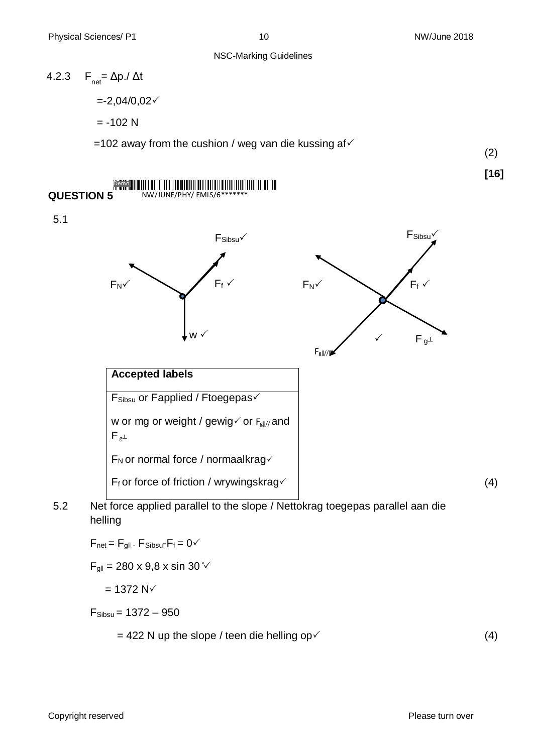## 4.2.3  $F_{net} = \Delta p / \Delta t$  $= -2,04/0,02 \checkmark$  $= -102$  N =102 away from the cushion / weg van die kussing af $\checkmark$

<u>ii II dhich in an American II dhe shekara ta shekara ta 1989 na marka ta 1989 na marka ta 1989 na marka ta 19</u>

(2)

**[16]**

5.1

**QUESTION 5**

Demo

NW/JUNE/PHY/ EMIS/6\*\*\*\*\*\*\*



5.2 Net force applied parallel to the slope / Nettokrag toegepas parallel aan die helling

 $F_{\text{net}} = F_{\text{qII}}$  -  $F_{\text{Sibsu}} - F_f = 0$ 

 $F_{\text{q||}} = 280 \times 9.8 \times \sin 30 \sqrt[5]{ }$ 

 $= 1372 N<sup>2</sup>$ 

 $F_{\text{Sibsu}} = 1372 - 950$ 

 $= 422$  N up the slope / teen die helling op  $(4)$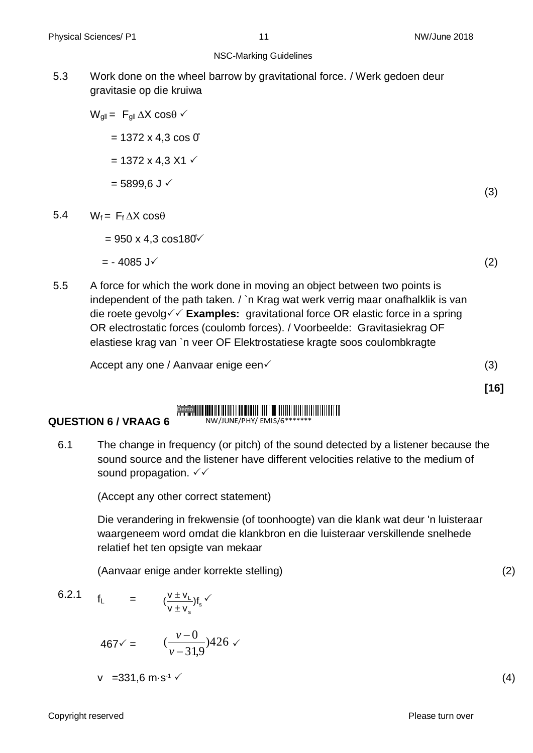5.3 Work done on the wheel barrow by gravitational force. / Werk gedoen deur gravitasie op die kruiwa

## $W_{\text{all}} = F_{\text{all}} \Delta X \cos \theta$  $= 1372 \times 4.3 \cos 0$  $= 1372 \times 4.3 \times 1 \times$  $= 5899.6$  J  $\checkmark$

- 5.4  $W_f = F_f \Delta X \cos\theta$ 
	- $= 950 \times 4.3 \cos 180^{\circ}$

$$
= -4085 \text{ J} \checkmark \tag{2}
$$

(3)

5.5 A force for which the work done in moving an object between two points is independent of the path taken. / `n Krag wat werk verrig maar onafhalklik is van die roete gevolg  $\checkmark$  **Examples:** gravitational force OR elastic force in a spring OR electrostatic forces (coulomb forces). / Voorbeelde: Gravitasiekrag OF elastiese krag van `n veer OF Elektrostatiese kragte soos coulombkragte

Accept any one / Aanvaar enige een  $(3)$ 

**[16]**

#### III II OO IN III OO IN II OO IN DIE GEBEUR IN DIE GEBEUR VAN DIE GEBEUR VAN DIE GEBEUR VAN DIE GEBEUR VAN DIE Demo NW/JUNE/PHY/ EMIS/6\*

#### **QUESTION 6 / VRAAG 6**

6.1 The change in frequency (or pitch) of the sound detected by a listener because the sound source and the listener have different velocities relative to the medium of sound propagation.  $\checkmark\checkmark$ 

(Accept any other correct statement)

Die verandering in frekwensie (of toonhoogte) van die klank wat deur 'n luisteraar waargeneem word omdat die klankbron en die luisteraar verskillende snelhede relatief het ten opsigte van mekaar

(Aanvaar enige ander korrekte stelling) (2)

6.2.1 
$$
f_L = (\frac{v \pm v_L}{v \pm v_s}) f_s
$$

$$
467 \checkmark = \frac{v - 0}{v - 31.9} 426 \checkmark
$$

$$
v = 331.6 \, \text{m} \cdot \text{s}^{-1} \tag{4}
$$

Copyright reserved **Please turn over the Copyright reserved** Please turn over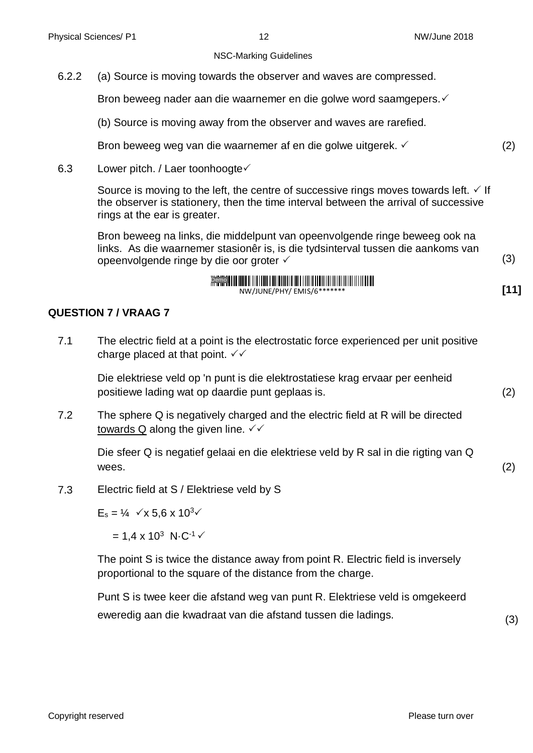6.2.2 (a) Source is moving towards the observer and waves are compressed.

Bron beweeg nader aan die waarnemer en die golwe word saamgepers.

(b) Source is moving away from the observer and waves are rarefied.

Bron beweeg weg van die waarnemer af en die golwe uitgerek. (2)

6.3 Lower pitch. / Laer toonhoogte $\checkmark$ 

Source is moving to the left, the centre of successive rings moves towards left.  $\checkmark$  If the observer is stationery, then the time interval between the arrival of successive rings at the ear is greater.

Bron beweeg na links, die middelpunt van opeenvolgende ringe beweeg ook na links. As die waarnemer stasionêr is, is die tydsinterval tussen die aankoms van opeenvolgende ringe by die oor groter  $\checkmark$  and  $\checkmark$  (3)

$$
\frac{\sum_{i=1}^{n} \sum_{i=1}^{n} \mathbf{z}_{i}}{\sum_{i=1}^{n} \sum_{i=1}^{n} \sum_{i=1}^{n} \sum_{i=1}^{n} \sum_{i=1}^{n} \sum_{i=1}^{n} \sum_{i=1}^{n} \sum_{i=1}^{n} \sum_{i=1}^{n} \sum_{i=1}^{n} \sum_{i=1}^{n} \sum_{i=1}^{n} \sum_{i=1}^{n} \sum_{i=1}^{n} \sum_{i=1}^{n} \sum_{i=1}^{n} \sum_{i=1}^{n} \sum_{i=1}^{n} \sum_{i=1}^{n} \sum_{i=1}^{n} \sum_{i=1}^{n} \sum_{i=1}^{n} \sum_{i=1}^{n} \sum_{i=1}^{n} \sum_{i=1}^{n} \sum_{i=1}^{n} \sum_{i=1}^{n} \sum_{i=1}^{n} \sum_{i=1}^{n} \sum_{i=1}^{n} \sum_{i=1}^{n} \sum_{i=1}^{n} \sum_{i=1}^{n} \sum_{i=1}^{n} \sum_{i=1}^{n} \sum_{i=1}^{n} \sum_{i=1}^{n} \sum_{i=1}^{n} \sum_{i=1}^{n} \sum_{i=1}^{n} \sum_{i=1}^{n} \sum_{i=1}^{n} \sum_{i=1}^{n} \sum_{i=1}^{n} \sum_{i=1}^{n} \sum_{i=1}^{n} \sum_{i=1}^{n} \sum_{i=1}^{n} \sum_{i=1}^{n} \sum_{i=1}^{n} \sum_{i=1}^{n} \sum_{i=1}^{n} \sum_{i=1}^{n} \sum_{i=1}^{n} \sum_{i=1}^{n} \sum_{i=1}^{n} \sum_{i=1}^{n} \sum_{i=1}^{n} \sum_{i=1}^{n} \sum_{i=1}^{n} \sum_{i=1}^{n} \sum_{i=1}^{n} \sum_{i=1}^{n} \sum_{i=1}^{n} \sum_{i=1}^{n} \sum_{i=1}^{n} \sum_{i=1}^{n} \sum_{i=1}^{n} \sum_{i=1}^{n} \sum_{i=1}^{n} \sum_{i=1}^{n} \sum_{i=1}^{n} \sum_{i=1}^{n}
$$

#### **QUESTION 7 / VRAAG 7**

7.1 The electric field at a point is the electrostatic force experienced per unit positive charge placed at that point.  $\checkmark\checkmark$ 

Die elektriese veld op 'n punt is die elektrostatiese krag ervaar per eenheid positiewe lading wat op daardie punt geplaas is. (2)

7.2 The sphere Q is negatively charged and the electric field at R will be directed towards Q along the given line.  $\sqrt{\checkmark}$ 

Die sfeer Q is negatief gelaai en die elektriese veld by R sal in die rigting van Q wees.  $(2)$ 

7.3 Electric field at S / Elektriese veld by S

 $E_s = \frac{1}{4}$   $\checkmark$  x 5.6 x 10<sup>3</sup> $\checkmark$ 

 $= 1,4 \times 10^{3} \text{ N} \cdot \text{C}^{-1}$ 

The point S is twice the distance away from point R. Electric field is inversely proportional to the square of the distance from the charge.

Punt S is twee keer die afstand weg van punt R. Elektriese veld is omgekeerd eweredig aan die kwadraat van die afstand tussen die ladings.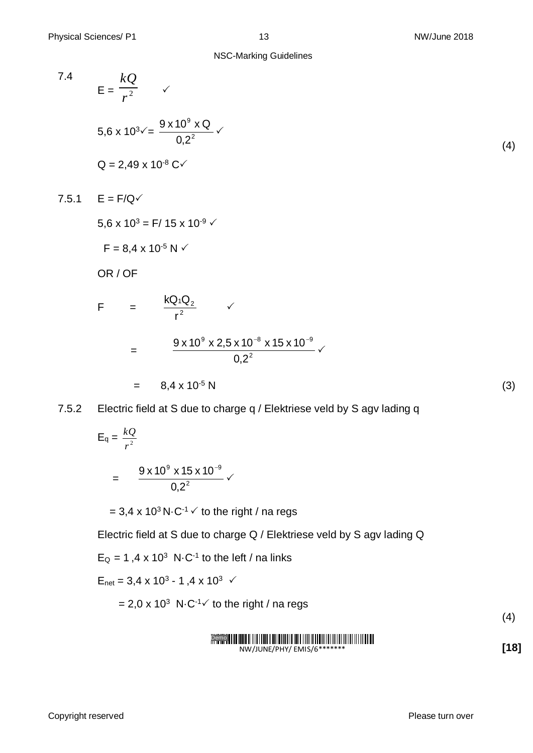7.4  
\n
$$
E = \frac{kQ}{r^2}
$$
\n6.6 x 10<sup>3</sup>  $\checkmark$  =  $\frac{9 \times 10^9 \times Q}{0.2^2}$  \n6.249 x 10<sup>-8</sup> C $\checkmark$   
\n7.5.1  
\n
$$
E = F/Q\checkmark
$$
\n7.5.1  
\n
$$
E = F/Q\checkmark
$$
\n6.6 x 10<sup>3</sup> = F/15 x 10<sup>-9</sup> \n6.6 x 10<sup>-3</sup> = F/15 x 10<sup>-9</sup> \n6.6 x 10<sup>-3</sup> = F/15 x 10<sup>-9</sup> \n6.6 x 10<sup>-5</sup> N \n6.6 x 10<sup>-6</sup> N \n6.7 x 15 x 10<sup>-8</sup> \n6.7 x 15 x 10<sup>-9</sup> \n6.7 x 15 x 10<sup>-9</sup> \n6.7 x 15 x 10<sup>-9</sup> \n6.7 x 15 x 10<sup>-9</sup> \n6.7 x 15 x 10<sup>-9</sup> \n7.5.2  
\n
$$
E = 8.4 \times 10^{-5} N
$$
\n7.5.3  
\n
$$
E = 8.4 \times 10^{-5} N
$$
\n(3)

$$
E_q = \frac{kQ}{r^2}
$$
  
= 
$$
\frac{9 \times 10^9 \times 15 \times 10^{-9}}{0.2^2}
$$

=  $3.4 \times 10^3$  N $\cdot$ C<sup>-1</sup>  $\checkmark$  to the right / na regs

Electric field at S due to charge Q / Elektriese veld by S agv lading Q

 $E_Q = 1,4 \times 10^3 \text{ N} \cdot \text{C}^{-1}$  to the left / na links

$$
E_{\text{net}} = 3.4 \times 10^3 - 1.4 \times 10^3
$$

= 2,0 x 10<sup>3</sup> N $\cdot$ C<sup>-1</sup> $\checkmark$  to the right / na regs

(4)

$$
\underbrace{\textcolor{blue}{\textcolor{blue}{\textcolor{blue}{\textbf{P}}}}\textcolor{blue}{\textcolor{blue}{\textbf{P}}}}_{\textcolor{blue}{\textbf{NW/JUNE/PHY/FMIS}}}\textcolor{blue}{\textcolor{blue}{\textbf{NW/JUNE/PHY/FMIS}}}
$$

**[18]**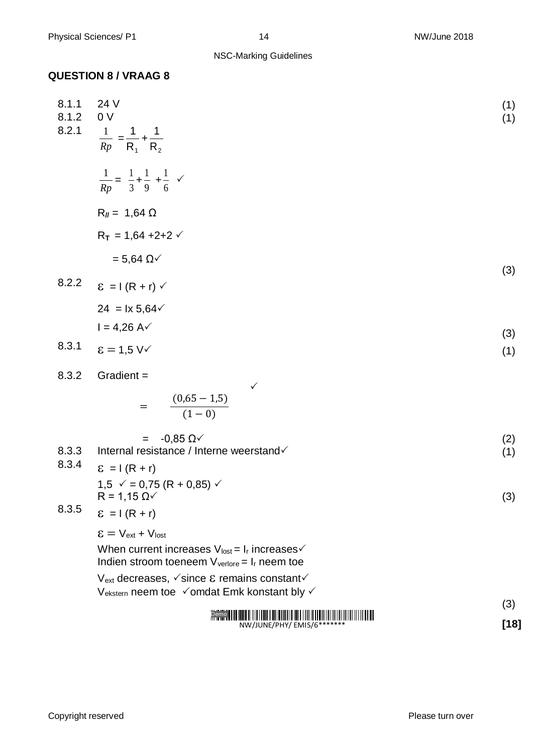### **QUESTION 8 / VRAAG 8**

| 8.1.1<br>8.1.2<br>8.2.1 | 24 V<br>0 <sup>V</sup><br>$\frac{1}{Rp} = \frac{1}{R_1} + \frac{1}{R_2}$                                                          | (1)<br>(1) |
|-------------------------|-----------------------------------------------------------------------------------------------------------------------------------|------------|
|                         | $\frac{1}{Rp} = \frac{1}{3} + \frac{1}{9} + \frac{1}{6}$                                                                          |            |
|                         | $R_{II} = 1,64 \Omega$                                                                                                            |            |
|                         | $R_T = 1,64 + 2 + 2 \checkmark$                                                                                                   |            |
|                         | $= 5,64 \Omega \checkmark$                                                                                                        | (3)        |
| 8.2.2                   | $\epsilon = I (R + r)$                                                                                                            |            |
|                         | $24 = 1 \times 5,64 \checkmark$                                                                                                   |            |
|                         | $I = 4,26 A\checkmark$                                                                                                            | (3)        |
| 8.3.1                   | $\epsilon = 1.5$ V $\checkmark$                                                                                                   | (1)        |
| 8.3.2                   | Gradient =                                                                                                                        |            |
|                         | $=\frac{(0,65-1,5)}{(1-0)}$                                                                                                       |            |
|                         | $-0,85 \Omega \checkmark$<br>$=$                                                                                                  | (2)        |
| 8.3.3<br>8.3.4          | Internal resistance / Interne weerstand√<br>$E = I (R + r)$                                                                       | (1)        |
|                         | $1,5 \sqrt{ } = 0,75 (R + 0,85) \sqrt{ }$<br>$R = 1,15 \Omega \checkmark$                                                         | (3)        |
| 8.3.5                   | $\epsilon = I (R + r)$                                                                                                            |            |
|                         | $\epsilon = V_{ext} + V_{lost}$                                                                                                   |            |
|                         | When current increases $V_{\text{lost}} = I_r$ increases $\checkmark$<br>Indien stroom toeneem $V_{\text{vertex}} = I_r$ neem toe |            |
|                         | $V_{ext}$ decreases, $\checkmark$ since $\&$ remains constant $\checkmark$                                                        |            |
|                         | Vekstern neem toe √omdat Emk konstant bly √                                                                                       | (3)        |
|                         |                                                                                                                                   |            |

#### NW/JUNE/PHY/ EMIS/6\*\*\*\*\*\*\* **[18]**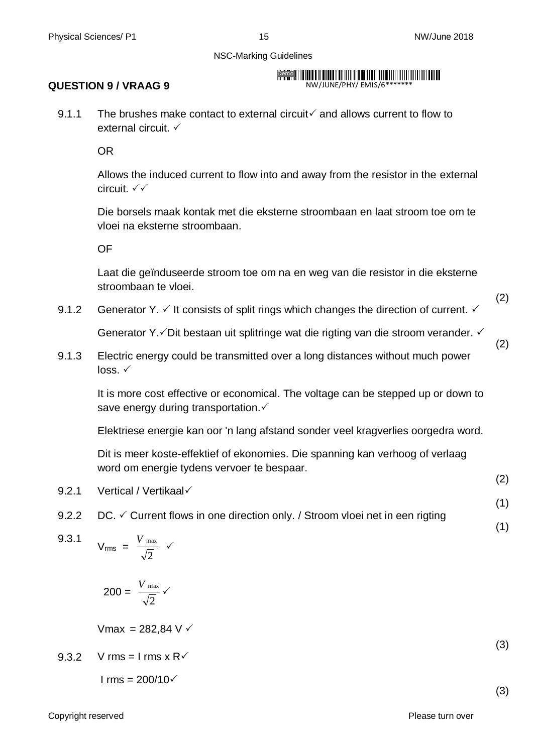#### **QUESTION 9 / VRAAG 9**

Demo **Harry Harry Harry Harry Harry Harry Harry Harry Harry Harry Harry Harry** NW/JUNE/PHY/ EMIS/6\*

9.1.1 The brushes make contact to external circuit  $\checkmark$  and allows current to flow to external circuit. ✓

OR

Allows the induced current to flow into and away from the resistor in the external circuit.

Die borsels maak kontak met die eksterne stroombaan en laat stroom toe om te vloei na eksterne stroombaan.

OF

Laat die geïnduseerde stroom toe om na en weg van die resistor in die eksterne stroombaan te vloei.

9.1.2 Generator Y.  $\checkmark$  It consists of split rings which changes the direction of current.  $\checkmark$ 

Generator Y. $\checkmark$ Dit bestaan uit splitringe wat die rigting van die stroom verander.  $\checkmark$ 

9.1.3 Electric energy could be transmitted over a long distances without much power  $loss$   $\checkmark$ 

It is more cost effective or economical. The voltage can be stepped up or down to save energy during transportation.

Elektriese energie kan oor 'n lang afstand sonder veel kragverlies oorgedra word.

Dit is meer koste-effektief of ekonomies. Die spanning kan verhoog of verlaag word om energie tydens vervoer te bespaar.

- 9.2.1 Vertical / Vertikaal
- 9.2.2 DC.  $\checkmark$  Current flows in one direction only. / Stroom vloei net in een rigting

9.3.1 V<sub>rms</sub> = 
$$
\frac{V_{\text{max}}}{\sqrt{2}}
$$

$$
200 = \frac{V_{\text{max}}}{\sqrt{2}} \checkmark
$$

$$
Vmax = 282,84 \, V \, \checkmark
$$

9.3.2 V rms = I rms 
$$
x R\checkmark
$$

$$
I\, \text{rms} = 200/10\, \text{V}
$$

Copyright reserved **Please turn over the Copyright reserved** Please turn over

(3)

(3)

(2)

(2)

(2)

(1)

(1)